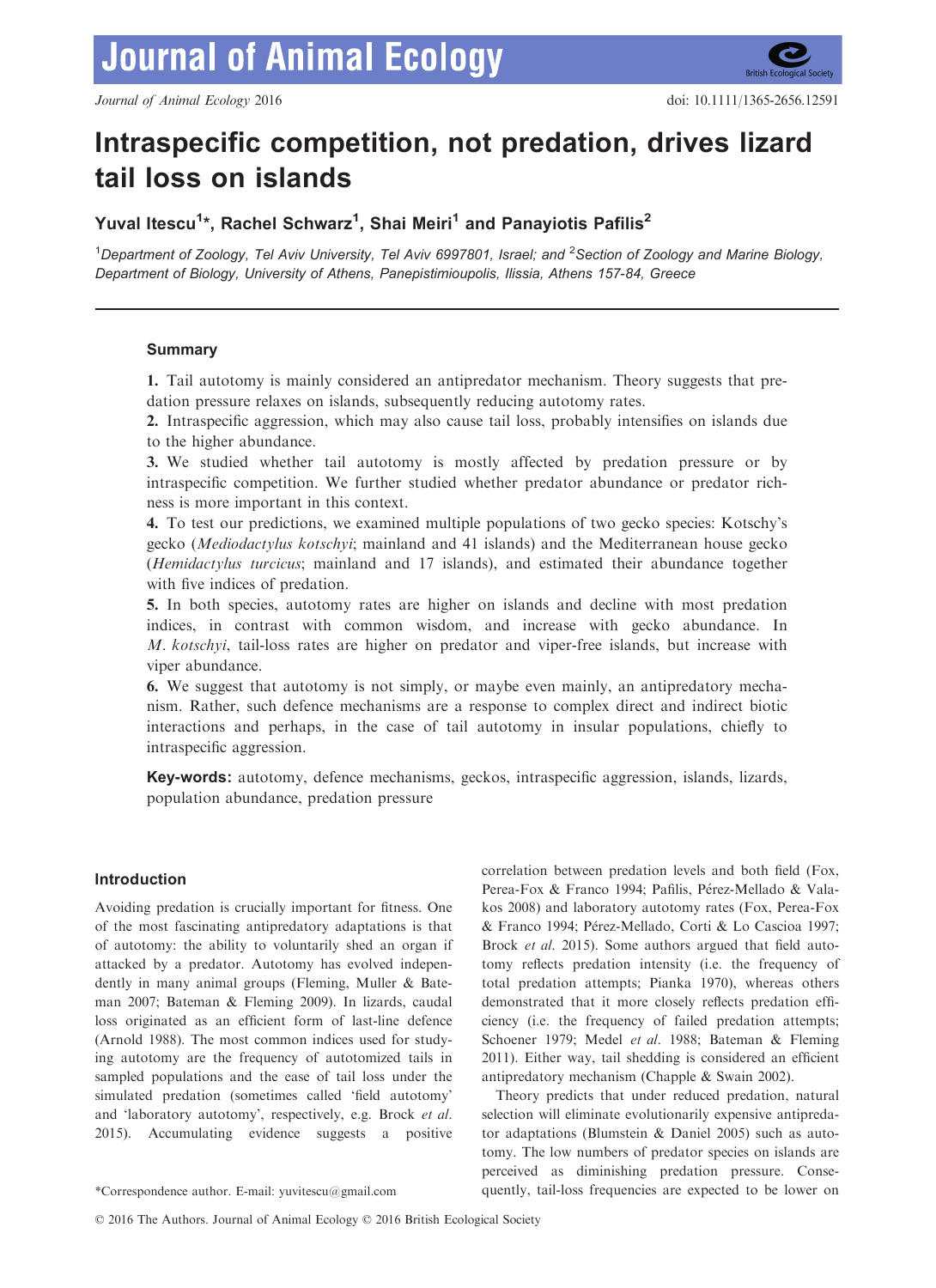

# Intraspecific competition, not predation, drives lizard tail loss on islands

Yuval Itescu<sup>1</sup>\*, Rachel Schwarz<sup>1</sup>, Shai Meiri<sup>1</sup> and Panayiotis Pafilis<sup>2</sup>

<sup>1</sup>Department of Zoology, Tel Aviv University, Tel Aviv 6997801, Israel; and <sup>2</sup>Section of Zoology and Marine Biology, Department of Biology, University of Athens, Panepistimioupolis, Ilissia, Athens 157-84, Greece

# Summary

1. Tail autotomy is mainly considered an antipredator mechanism. Theory suggests that predation pressure relaxes on islands, subsequently reducing autotomy rates.

2. Intraspecific aggression, which may also cause tail loss, probably intensifies on islands due to the higher abundance.

3. We studied whether tail autotomy is mostly affected by predation pressure or by intraspecific competition. We further studied whether predator abundance or predator richness is more important in this context.

4. To test our predictions, we examined multiple populations of two gecko species: Kotschy's gecko (Mediodactylus kotschyi; mainland and 41 islands) and the Mediterranean house gecko (Hemidactylus turcicus; mainland and 17 islands), and estimated their abundance together with five indices of predation.

5. In both species, autotomy rates are higher on islands and decline with most predation indices, in contrast with common wisdom, and increase with gecko abundance. In M. kotschyi, tail-loss rates are higher on predator and viper-free islands, but increase with viper abundance.

6. We suggest that autotomy is not simply, or maybe even mainly, an antipredatory mechanism. Rather, such defence mechanisms are a response to complex direct and indirect biotic interactions and perhaps, in the case of tail autotomy in insular populations, chiefly to intraspecific aggression.

Key-words: autotomy, defence mechanisms, geckos, intraspecific aggression, islands, lizards, population abundance, predation pressure

# Introduction

Avoiding predation is crucially important for fitness. One of the most fascinating antipredatory adaptations is that of autotomy: the ability to voluntarily shed an organ if attacked by a predator. Autotomy has evolved independently in many animal groups (Fleming, Muller & Bateman 2007; Bateman & Fleming 2009). In lizards, caudal loss originated as an efficient form of last-line defence (Arnold 1988). The most common indices used for studying autotomy are the frequency of autotomized tails in sampled populations and the ease of tail loss under the simulated predation (sometimes called 'field autotomy' and 'laboratory autotomy', respectively, e.g. Brock et al. 2015). Accumulating evidence suggests a positive

correlation between predation levels and both field (Fox, Perea-Fox & Franco 1994; Pafilis, Pérez-Mellado & Valakos 2008) and laboratory autotomy rates (Fox, Perea-Fox & Franco 1994; Perez-Mellado, Corti & Lo Cascioa 1997; Brock *et al.* 2015). Some authors argued that field autotomy reflects predation intensity (i.e. the frequency of total predation attempts; Pianka 1970), whereas others demonstrated that it more closely reflects predation efficiency (i.e. the frequency of failed predation attempts; Schoener 1979; Medel et al. 1988; Bateman & Fleming 2011). Either way, tail shedding is considered an efficient antipredatory mechanism (Chapple & Swain 2002).

Theory predicts that under reduced predation, natural selection will eliminate evolutionarily expensive antipredator adaptations (Blumstein & Daniel 2005) such as autotomy. The low numbers of predator species on islands are perceived as diminishing predation pressure. Conse- \*Correspondence author. E-mail: yuvitescu@gmail.com quently, tail-loss frequencies are expected to be lower on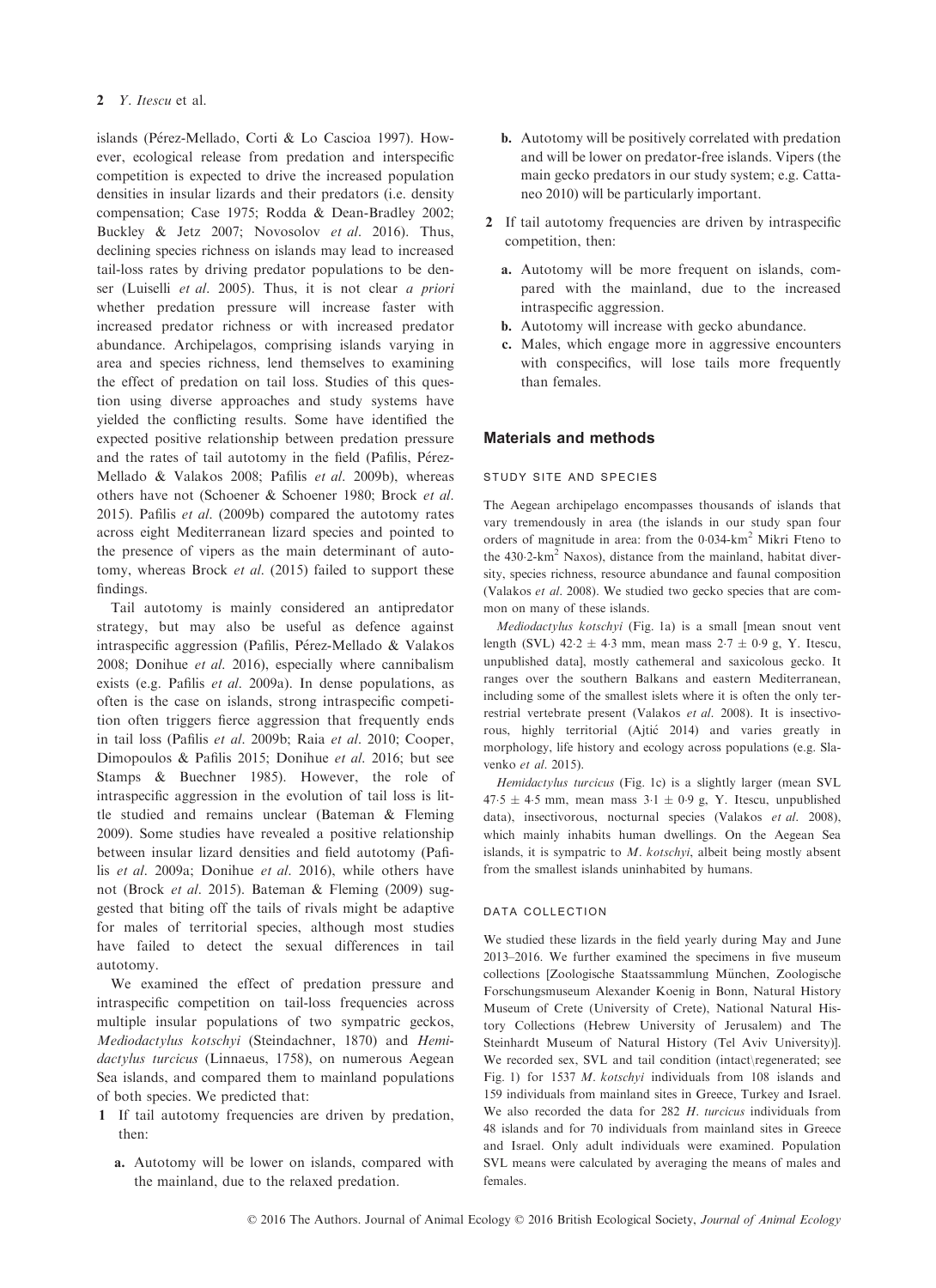islands (Pérez-Mellado, Corti & Lo Cascioa 1997). However, ecological release from predation and interspecific competition is expected to drive the increased population densities in insular lizards and their predators (i.e. density compensation; Case 1975; Rodda & Dean-Bradley 2002; Buckley & Jetz 2007; Novosolov et al. 2016). Thus, declining species richness on islands may lead to increased tail-loss rates by driving predator populations to be denser (Luiselli et al. 2005). Thus, it is not clear a priori whether predation pressure will increase faster with increased predator richness or with increased predator abundance. Archipelagos, comprising islands varying in area and species richness, lend themselves to examining the effect of predation on tail loss. Studies of this question using diverse approaches and study systems have yielded the conflicting results. Some have identified the expected positive relationship between predation pressure and the rates of tail autotomy in the field (Pafilis, Pérez-Mellado & Valakos 2008; Pafilis et al. 2009b), whereas others have not (Schoener & Schoener 1980; Brock et al. 2015). Pafilis *et al.* (2009b) compared the autotomy rates across eight Mediterranean lizard species and pointed to the presence of vipers as the main determinant of autotomy, whereas Brock et al. (2015) failed to support these findings.

Tail autotomy is mainly considered an antipredator strategy, but may also be useful as defence against intraspecific aggression (Pafilis, Pérez-Mellado & Valakos 2008; Donihue et al. 2016), especially where cannibalism exists (e.g. Pafilis et al. 2009a). In dense populations, as often is the case on islands, strong intraspecific competition often triggers fierce aggression that frequently ends in tail loss (Pafilis et al. 2009b; Raia et al. 2010; Cooper, Dimopoulos & Pafilis 2015; Donihue et al. 2016; but see Stamps & Buechner 1985). However, the role of intraspecific aggression in the evolution of tail loss is little studied and remains unclear (Bateman & Fleming 2009). Some studies have revealed a positive relationship between insular lizard densities and field autotomy (Pafilis et al. 2009a; Donihue et al. 2016), while others have not (Brock et al. 2015). Bateman & Fleming (2009) suggested that biting off the tails of rivals might be adaptive for males of territorial species, although most studies have failed to detect the sexual differences in tail autotomy.

We examined the effect of predation pressure and intraspecific competition on tail-loss frequencies across multiple insular populations of two sympatric geckos, Mediodactylus kotschyi (Steindachner, 1870) and Hemidactylus turcicus (Linnaeus, 1758), on numerous Aegean Sea islands, and compared them to mainland populations of both species. We predicted that:

- 1 If tail autotomy frequencies are driven by predation, then:
	- a. Autotomy will be lower on islands, compared with the mainland, due to the relaxed predation.
- b. Autotomy will be positively correlated with predation and will be lower on predator-free islands. Vipers (the main gecko predators in our study system; e.g. Cattaneo 2010) will be particularly important.
- 2 If tail autotomy frequencies are driven by intraspecific competition, then:
	- a. Autotomy will be more frequent on islands, compared with the mainland, due to the increased intraspecific aggression.
	- b. Autotomy will increase with gecko abundance.
	- c. Males, which engage more in aggressive encounters with conspecifics, will lose tails more frequently than females.

## Materials and methods

#### study site and species

The Aegean archipelago encompasses thousands of islands that vary tremendously in area (the islands in our study span four orders of magnitude in area: from the 0034-km2 Mikri Fteno to the  $430.2 \text{-} \text{km}^2$  Naxos), distance from the mainland, habitat diversity, species richness, resource abundance and faunal composition (Valakos et al. 2008). We studied two gecko species that are common on many of these islands.

Mediodactylus kotschyi (Fig. 1a) is a small [mean snout vent length (SVL)  $42.2 \pm 4.3$  mm, mean mass  $2.7 \pm 0.9$  g, Y. Itescu, unpublished data], mostly cathemeral and saxicolous gecko. It ranges over the southern Balkans and eastern Mediterranean, including some of the smallest islets where it is often the only terrestrial vertebrate present (Valakos et al. 2008). It is insectivorous, highly territorial (Ajtic 2014) and varies greatly in morphology, life history and ecology across populations (e.g. Slavenko et al. 2015).

Hemidactylus turcicus (Fig. 1c) is a slightly larger (mean SVL  $47.5 \pm 4.5$  mm, mean mass  $3.1 \pm 0.9$  g, Y. Itescu, unpublished data), insectivorous, nocturnal species (Valakos et al. 2008), which mainly inhabits human dwellings. On the Aegean Sea islands, it is sympatric to  $M$ . kotschyi, albeit being mostly absent from the smallest islands uninhabited by humans.

## data collection

We studied these lizards in the field yearly during May and June 2013–2016. We further examined the specimens in five museum collections [Zoologische Staatssammlung München, Zoologische Forschungsmuseum Alexander Koenig in Bonn, Natural History Museum of Crete (University of Crete), National Natural History Collections (Hebrew University of Jerusalem) and The Steinhardt Museum of Natural History (Tel Aviv University)]. We recorded sex, SVL and tail condition (intact\regenerated; see Fig. 1) for 1537 M. kotschyi individuals from 108 islands and 159 individuals from mainland sites in Greece, Turkey and Israel. We also recorded the data for 282 H. turcicus individuals from 48 islands and for 70 individuals from mainland sites in Greece and Israel. Only adult individuals were examined. Population SVL means were calculated by averaging the means of males and females.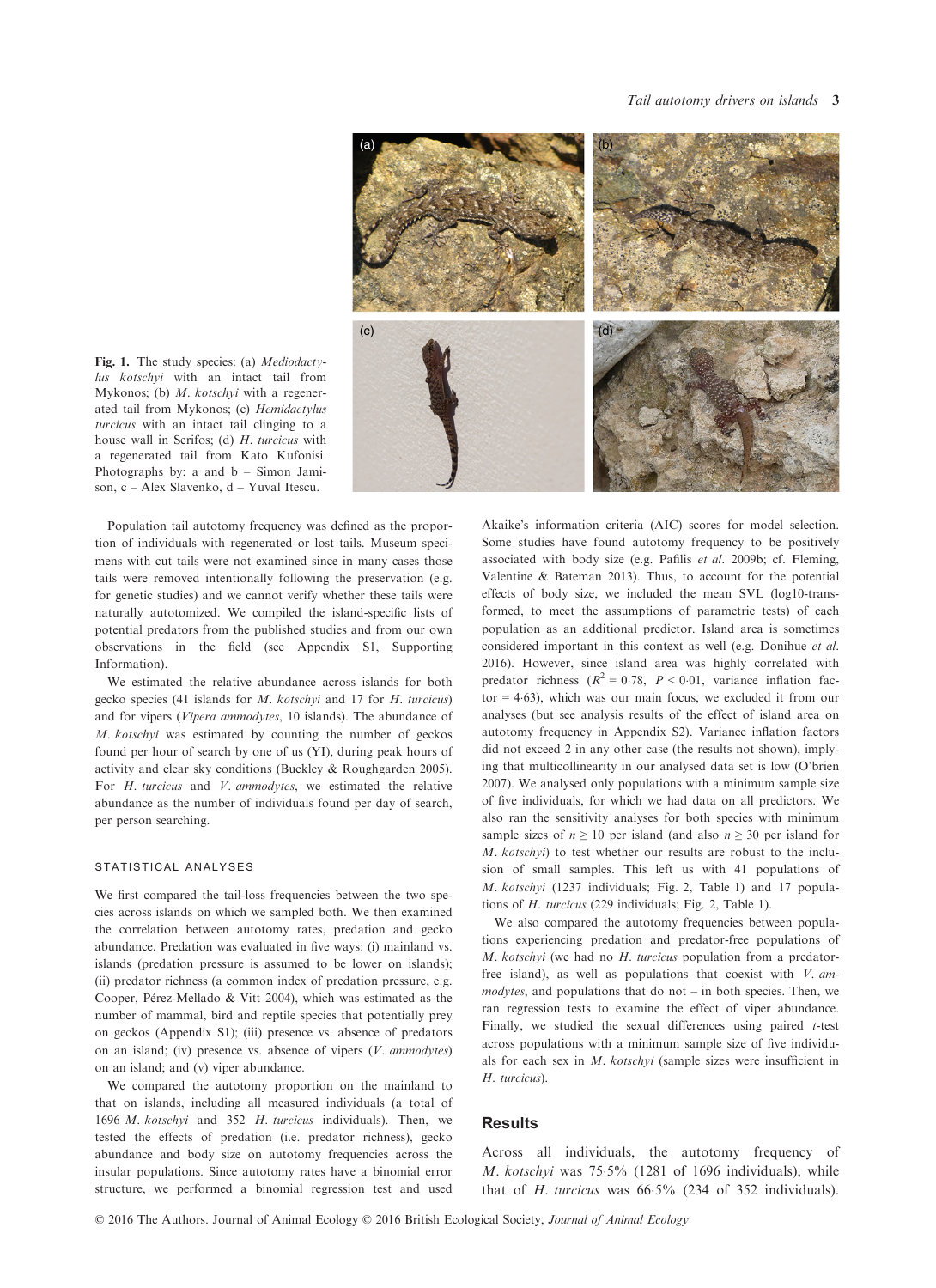

Fig. 1. The study species: (a) Mediodactylus kotschyi with an intact tail from Mykonos; (b) M. kotschyi with a regenerated tail from Mykonos; (c) Hemidactylus turcicus with an intact tail clinging to a house wall in Serifos; (d) H. turcicus with a regenerated tail from Kato Kufonisi. Photographs by: a and b – Simon Jamison, c – Alex Slavenko, d – Yuval Itescu.

Population tail autotomy frequency was defined as the proportion of individuals with regenerated or lost tails. Museum specimens with cut tails were not examined since in many cases those tails were removed intentionally following the preservation (e.g. for genetic studies) and we cannot verify whether these tails were naturally autotomized. We compiled the island-specific lists of potential predators from the published studies and from our own observations in the field (see Appendix S1, Supporting Information).

We estimated the relative abundance across islands for both gecko species (41 islands for M. kotschyi and 17 for H. turcicus) and for vipers (Vipera ammodytes, 10 islands). The abundance of M. kotschyi was estimated by counting the number of geckos found per hour of search by one of us (YI), during peak hours of activity and clear sky conditions (Buckley & Roughgarden 2005). For H. turcicus and V. ammodytes, we estimated the relative abundance as the number of individuals found per day of search, per person searching.

#### statistical analyses

We first compared the tail-loss frequencies between the two species across islands on which we sampled both. We then examined the correlation between autotomy rates, predation and gecko abundance. Predation was evaluated in five ways: (i) mainland vs. islands (predation pressure is assumed to be lower on islands); (ii) predator richness (a common index of predation pressure, e.g. Cooper, Pérez-Mellado & Vitt 2004), which was estimated as the number of mammal, bird and reptile species that potentially prey on geckos (Appendix S1); (iii) presence vs. absence of predators on an island; (iv) presence vs. absence of vipers (V. ammodytes) on an island; and (v) viper abundance.

We compared the autotomy proportion on the mainland to that on islands, including all measured individuals (a total of 1696 M. kotschyi and 352 H. turcicus individuals). Then, we tested the effects of predation (i.e. predator richness), gecko abundance and body size on autotomy frequencies across the insular populations. Since autotomy rates have a binomial error structure, we performed a binomial regression test and used

Akaike's information criteria (AIC) scores for model selection. Some studies have found autotomy frequency to be positively associated with body size (e.g. Pafilis et al. 2009b; cf. Fleming, Valentine & Bateman 2013). Thus, to account for the potential effects of body size, we included the mean SVL (log10-transformed, to meet the assumptions of parametric tests) of each population as an additional predictor. Island area is sometimes considered important in this context as well (e.g. Donihue et al. 2016). However, since island area was highly correlated with predator richness ( $R^2 = 0.78$ ,  $P < 0.01$ , variance inflation factor  $=$  4.63), which was our main focus, we excluded it from our analyses (but see analysis results of the effect of island area on autotomy frequency in Appendix S2). Variance inflation factors did not exceed 2 in any other case (the results not shown), implying that multicollinearity in our analysed data set is low (O'brien 2007). We analysed only populations with a minimum sample size of five individuals, for which we had data on all predictors. We also ran the sensitivity analyses for both species with minimum sample sizes of  $n \ge 10$  per island (and also  $n \ge 30$  per island for M. kotschyi) to test whether our results are robust to the inclusion of small samples. This left us with 41 populations of M. kotschyi (1237 individuals; Fig. 2, Table 1) and 17 populations of H. turcicus (229 individuals; Fig. 2, Table 1).

We also compared the autotomy frequencies between populations experiencing predation and predator-free populations of M. kotschyi (we had no  $H$ . turcicus population from a predatorfree island), as well as populations that coexist with  $V$ . ammodytes, and populations that do not – in both species. Then, we ran regression tests to examine the effect of viper abundance. Finally, we studied the sexual differences using paired t-test across populations with a minimum sample size of five individuals for each sex in M. kotschyi (sample sizes were insufficient in H. turcicus).

## **Results**

Across all individuals, the autotomy frequency of M. kotschyi was 755% (1281 of 1696 individuals), while that of  $H$ . turcicus was  $66.5\%$  (234 of 352 individuals).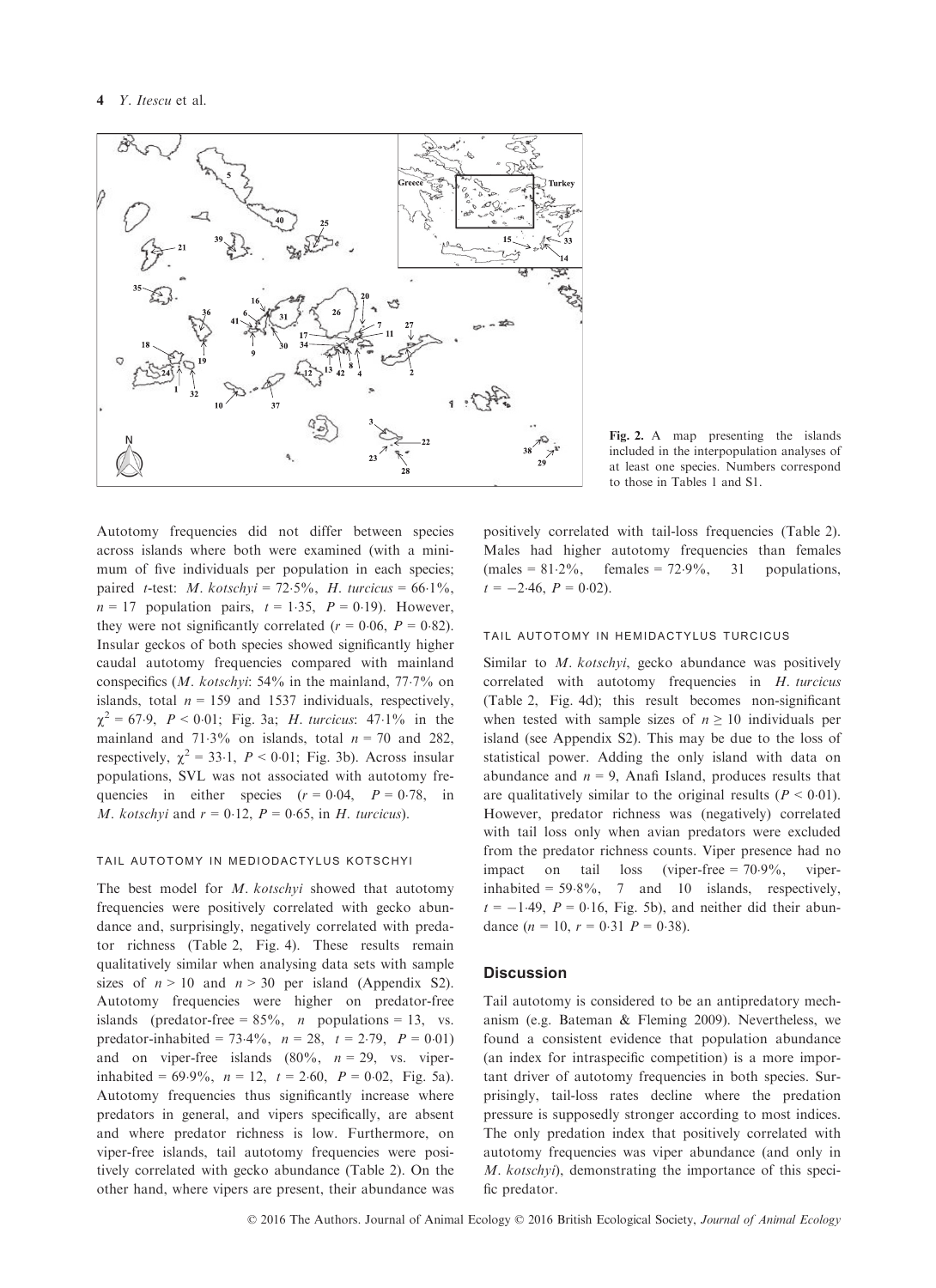

Fig. 2. A map presenting the islands included in the interpopulation analyses of at least one species. Numbers correspond to those in Tables 1 and S1.

Autotomy frequencies did not differ between species across islands where both were examined (with a minimum of five individuals per population in each species; paired *t*-test: *M.* kotschyi =  $72.5\%$ , *H.* turcicus =  $66.1\%$ ,  $n = 17$  population pairs,  $t = 1.35$ ,  $P = 0.19$ ). However, they were not significantly correlated ( $r = 0.06$ ,  $P = 0.82$ ). Insular geckos of both species showed significantly higher caudal autotomy frequencies compared with mainland conspecifics  $(M. kotshvi: 54\%$  in the mainland, 77.7% on islands, total  $n = 159$  and 1537 individuals, respectively,  $\chi^2 = 67.9$ ,  $P < 0.01$ ; Fig. 3a; *H. turcicus*: 47.1% in the mainland and 71.3% on islands, total  $n = 70$  and 282, respectively,  $\chi^2 = 33.1$ ,  $P < 0.01$ ; Fig. 3b). Across insular populations, SVL was not associated with autotomy frequencies in either species  $(r = 0.04, P = 0.78, in$ M. kotschyi and  $r = 0.12$ ,  $P = 0.65$ , in H. turcicus).

# tail autotomy in mediodactylus kotschyi

The best model for M. kotschyi showed that autotomy frequencies were positively correlated with gecko abundance and, surprisingly, negatively correlated with predator richness (Table 2, Fig. 4). These results remain qualitatively similar when analysing data sets with sample sizes of  $n > 10$  and  $n > 30$  per island (Appendix S2). Autotomy frequencies were higher on predator-free islands (predator-free =  $85\%$ , *n* populations = 13, vs. predator-inhabited = 73.4%,  $n = 28$ ,  $t = 2.79$ ,  $P = 0.01$ ) and on viper-free islands  $(80\%, n = 29, \text{ vs. viper-}$ inhabited =  $69.9\%$ ,  $n = 12$ ,  $t = 2.60$ ,  $P = 0.02$ , Fig. 5a). Autotomy frequencies thus significantly increase where predators in general, and vipers specifically, are absent and where predator richness is low. Furthermore, on viper-free islands, tail autotomy frequencies were positively correlated with gecko abundance (Table 2). On the other hand, where vipers are present, their abundance was positively correlated with tail-loss frequencies (Table 2). Males had higher autotomy frequencies than females  $(males = 81.2\%,$  females = 72.9%, 31 populations,  $t = -2.46$ ,  $P = 0.02$ ).

## tail autotomy in hemidactylus turcicus

Similar to *M. kotschyi*, gecko abundance was positively correlated with autotomy frequencies in H. turcicus (Table 2, Fig. 4d); this result becomes non-significant when tested with sample sizes of  $n \geq 10$  individuals per island (see Appendix S2). This may be due to the loss of statistical power. Adding the only island with data on abundance and  $n = 9$ , Anafi Island, produces results that are qualitatively similar to the original results ( $P < 0.01$ ). However, predator richness was (negatively) correlated with tail loss only when avian predators were excluded from the predator richness counts. Viper presence had no impact on tail loss (viper-free  $= 70.9\%$ , viperinhabited =  $59.8\%$ , 7 and 10 islands, respectively,  $t = -1.49$ ,  $P = 0.16$ , Fig. 5b), and neither did their abundance  $(n = 10, r = 0.31 P = 0.38)$ .

## **Discussion**

Tail autotomy is considered to be an antipredatory mechanism (e.g. Bateman & Fleming 2009). Nevertheless, we found a consistent evidence that population abundance (an index for intraspecific competition) is a more important driver of autotomy frequencies in both species. Surprisingly, tail-loss rates decline where the predation pressure is supposedly stronger according to most indices. The only predation index that positively correlated with autotomy frequencies was viper abundance (and only in M. kotschyi), demonstrating the importance of this specific predator.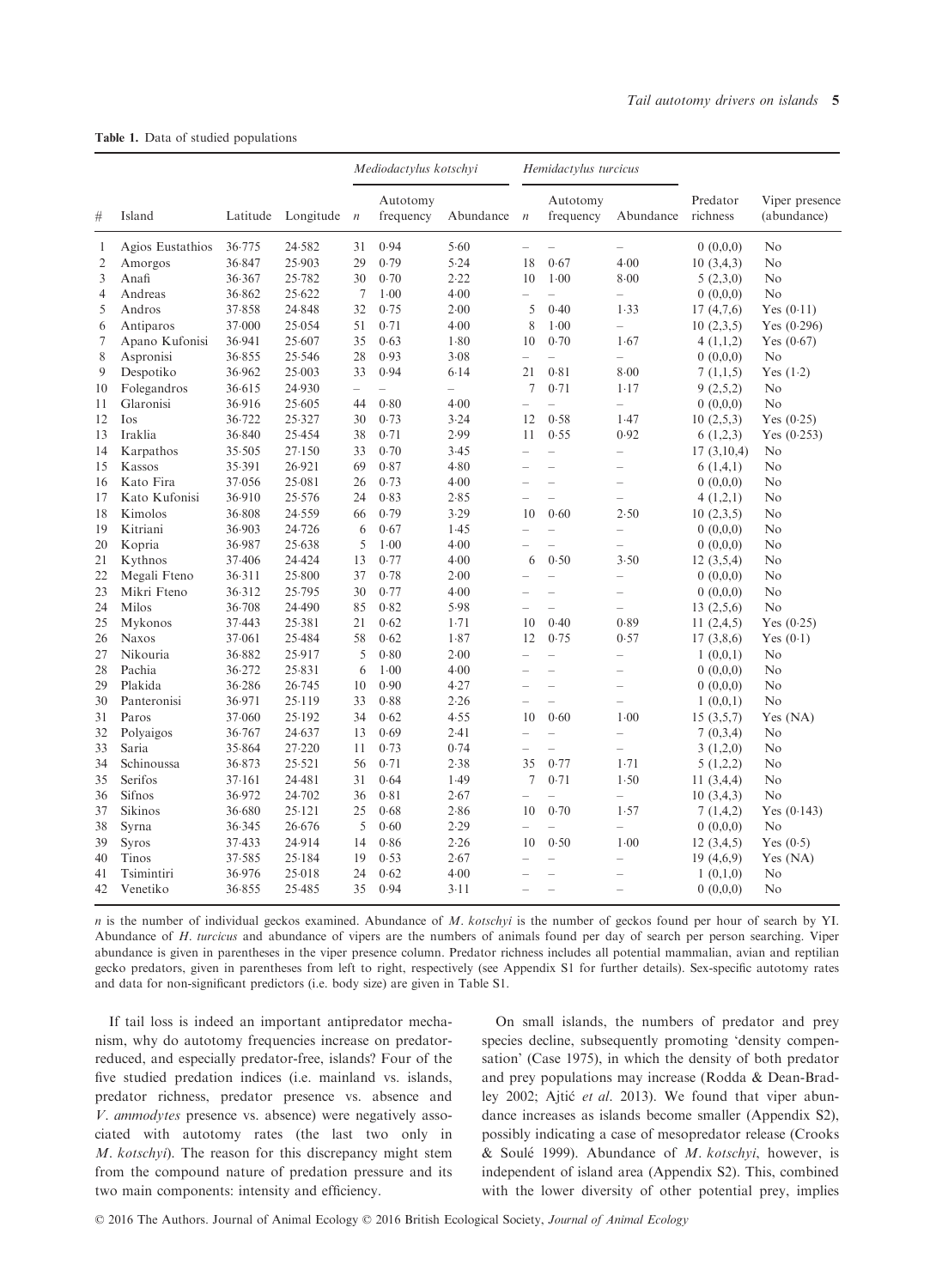|                | Island                   | Latitude         | Longitude $n$    | Mediodactylus kotschyi   |                       |                          | Hemidactylus turcicus    |                                  |                                    |                      |                               |  |
|----------------|--------------------------|------------------|------------------|--------------------------|-----------------------|--------------------------|--------------------------|----------------------------------|------------------------------------|----------------------|-------------------------------|--|
| #              |                          |                  |                  |                          | Autotomy<br>frequency | Abundance                | $\boldsymbol{n}$         | Autotomy<br>frequency            | Abundance                          | Predator<br>richness | Viper presence<br>(abundance) |  |
| 1              | Agios Eustathios         | 36.775           | 24.582           | 31                       | 0.94                  | 5.60                     | $\overline{\phantom{0}}$ |                                  | $\overline{\phantom{0}}$           | 0(0,0,0)             | No                            |  |
| 2              | Amorgos                  | 36.847           | 25.903           | 29                       | 0.79                  | 5.24                     | 18                       | 0.67                             | 4.00                               | 10(3, 4, 3)          | No                            |  |
| 3              | Anafi                    | 36.367           | 25.782           | 30                       | 0.70                  | 2.22                     | 10                       | $1-00$                           | 8.00                               | 5(2,3,0)             | No                            |  |
| $\overline{4}$ | Andreas                  | 36.862           | 25.622           | 7                        | $1-00$                | 4.00                     | $\equiv$                 |                                  | $\overline{\phantom{0}}$           | 0(0,0,0)             | No                            |  |
| 5              | Andros                   | 37.858           | 24.848           | 32                       | 0.75                  | 2.00                     | 5                        | 0.40                             | 1.33                               | 17(4,7,6)            | Yes $(0.11)$                  |  |
| 6              | Antiparos                | 37.000           | 25.054           | 51                       | 0.71                  | 4.00                     | 8                        | $1-00$                           | $\overline{\phantom{0}}$           | 10(2,3,5)            | Yes $(0.296)$                 |  |
| 7              | Apano Kufonisi           | 36.941           | 25.607           | 35                       | 0.63                  | 1.80                     | 10                       | 0.70                             | 1.67                               | 4(1,1,2)             | Yes $(0.67)$                  |  |
| 8              | Aspronisi                | 36.855           | 25.546           | 28                       | 0.93                  | 3.08                     | $\equiv$                 |                                  | $\overline{a}$                     | 0(0,0,0)             | N <sub>o</sub>                |  |
| 9              | Despotiko                | 36.962           | 25.003           | 33                       | 0.94                  | 6.14                     | 21                       | 0.81                             | 8.00                               | 7(1,1,5)             | Yes $(1.2)$                   |  |
| 10             | Folegandros              | 36.615           | 24.930           | $\overline{\phantom{a}}$ |                       | $\overline{\phantom{0}}$ | 7                        | 0.71                             | $1 - 17$                           | 9(2,5,2)             | No                            |  |
| 11             | Glaronisi                | 36.916           | 25.605           | 44                       | 0.80                  | 4.00                     | L,                       |                                  | $\overline{\phantom{0}}$           | 0(0,0,0)             | No                            |  |
| 12             | Ios                      | 36.722           | 25.327           | 30                       | 0.73                  | 3.24                     | 12                       | 0.58                             | 1.47                               | 10(2,5,3)            | Yes $(0.25)$                  |  |
| 13             | Iraklia                  | 36.840           | 25.454           | 38                       | 0.71                  | 2.99                     | 11                       | 0.55                             | 0.92                               | 6(1,2,3)             | Yes $(0.253)$                 |  |
| 14             | Karpathos                | 35.505           | 27.150           | 33                       | 0.70                  | 3.45                     | $\equiv$                 | L.                               | $\overline{\phantom{0}}$           | 17(3,10,4)           | No                            |  |
| 15             | Kassos                   | 35.391           | 26.921           | 69                       | 0.87                  | 4.80                     | $\overline{\phantom{0}}$ | $\overline{\phantom{0}}$         | $\overline{\phantom{0}}$           | 6(1,4,1)             | No                            |  |
| 16             | Kato Fira                | 37.056           | 25.081           | 26                       | 0.73                  | 4.00                     |                          |                                  |                                    | 0(0,0,0)             | No                            |  |
| 17             | Kato Kufonisi            | 36.910           | 25.576           | 24                       | 0.83                  | 2.85                     |                          | $\overline{\phantom{a}}$         | $\overline{\phantom{0}}$           | 4(1,2,1)             | No                            |  |
| 18             | Kimolos                  | 36.808           | 24.559           | 66                       | 0.79                  | 3.29                     | 10                       | 0.60                             | 2.50                               | 10(2,3,5)            | No                            |  |
| 19             | Kitriani                 | 36.903           | 24.726           | 6                        | 0.67                  | 1.45                     | $\equiv$                 |                                  | $\overline{\phantom{0}}$           | 0(0,0,0)             | No                            |  |
| 20             | Kopria                   | 36.987           | 25.638           | 5                        | 1.00                  | 4.00                     |                          | $\overline{\phantom{0}}$         | $\overline{\phantom{0}}$           | 0(0,0,0)             | No                            |  |
| 21             | Kythnos                  | 37.406           | 24.424           | 13                       | 0.77                  | 4.00                     | 6                        | 0.50                             | 3.50                               | 12(3,5,4)            | No                            |  |
| 22             | Megali Fteno             | 36.311           | 25.800           | 37                       | 0.78                  | 2.00                     | $\overline{\phantom{0}}$ | $\sim$                           | $\overline{\phantom{0}}$           | 0(0,0,0)             | No                            |  |
| 23             | Mikri Fteno              | 36.312           | 25.795           | 30                       | 0.77                  | 4.00                     |                          | $\overline{\phantom{a}}$         | $\overline{\phantom{0}}$           | 0(0,0,0)             | No                            |  |
| 24             | Milos                    | 36.708           | 24.490           | 85                       | 0.82                  | 5.98                     | $\overline{\phantom{0}}$ | $\equiv$                         | $\overline{\phantom{0}}$           | 13(2,5,6)            | No                            |  |
| 25             | Mykonos                  | 37.443           | 25.381           | 21                       | 0.62                  | 1.71                     | 10                       | 0.40                             | 0.89                               | 11(2,4,5)            | Yes $(0.25)$                  |  |
| 26             | <b>Naxos</b>             | 37.061           | 25.484           | 58                       | 0.62                  | 1.87                     | 12                       | 0.75                             | 0.57                               | 17(3,8,6)            | Yes $(0.1)$                   |  |
| 27             | Nikouria                 | 36.882           | 25.917           | 5                        | 0.80                  | 2.00                     | $\equiv$                 |                                  | $\overline{\phantom{0}}$           | 1(0,0,1)             | No                            |  |
| 28             | Pachia                   | 36.272           | 25.831           | 6                        | 1.00                  | 4.00                     | $\overline{\phantom{0}}$ | $\equiv$                         | $\overline{\phantom{0}}$           | 0(0,0,0)             | No                            |  |
| 29             | Plakida                  | 36.286           | 26.745           | 10                       | 0.90                  | 4.27                     | $\equiv$                 | $\equiv$                         | $\overline{\phantom{0}}$           | 0(0,0,0)             | No                            |  |
| 30             | Panteronisi              | 36.971           | 25.119           | 33                       | 0.88                  | 2.26                     | $\equiv$                 | $\equiv$                         | $\overline{\phantom{0}}$           | 1(0,0,1)             | No                            |  |
| 31<br>32       | Paros                    | 37.060<br>36.767 | 25.192           | 34<br>13                 | 0.62<br>0.69          | 4.55<br>2.41             | 10                       | 0.60<br>$\overline{\phantom{0}}$ | $1-00$<br>$\equiv$                 | 15(3,5,7)            | Yes (NA)<br>No                |  |
| 33             | Polyaigos<br>Saria       |                  | 24.637<br>27.220 | 11                       | 0.73                  | 0.74                     |                          |                                  |                                    | 7(0,3,4)             |                               |  |
|                |                          | 35.864           |                  |                          |                       |                          | $\overline{\phantom{0}}$ |                                  | $\overline{\phantom{0}}$           | 3(1,2,0)             | No                            |  |
| 34             | Schinoussa<br>Serifos    | 36.873           | 25.521           | 56                       | 0.71<br>0.64          | 2.38                     | 35<br>7                  | 0.77                             | 1.71                               | 5(1,2,2)             | No                            |  |
| 35             |                          | 37.161           | 24.481           | 31                       |                       | 1.49                     |                          | 0.71                             | 1.50                               | 11(3,4,4)            | No                            |  |
| 36<br>37       | <b>Sifnos</b><br>Sikinos | 36.972<br>36.680 | 24.702<br>25.121 | 36<br>25                 | 0.81<br>0.68          | 2.67<br>2.86             | 10                       | 0.70                             | $\overline{\phantom{0}}$<br>1.57   | 10(3,4,3)            | No<br>Yes $(0.143)$           |  |
|                |                          |                  |                  | 5                        |                       |                          | $\equiv$                 |                                  | $\equiv$                           | 7(1,4,2)             |                               |  |
| 38             | Syrna                    | 36.345           | 26.676           |                          | 0.60                  | 2.29                     |                          |                                  |                                    | 0(0,0,0)             | No                            |  |
| 39<br>40       | <b>Syros</b><br>Tinos    | 37.433<br>37.585 | 24.914<br>25.184 | 14<br>19                 | 0.86<br>0.53          | 2.26<br>2.67             | 10                       | 0.50<br>÷,                       | $1-00$<br>$\overline{\phantom{0}}$ | 12(3,4,5)            | Yes $(0.5)$                   |  |
|                |                          |                  |                  |                          |                       |                          | $\overline{\phantom{0}}$ |                                  |                                    | 19(4,6,9)            | Yes (NA)                      |  |
| 41<br>42       | Tsimintiri<br>Venetiko   | 36.976<br>36.855 | 25.018<br>25.485 | 24<br>35                 | 0.62<br>0.94          | 4.00<br>3.11             |                          | $\overline{\phantom{a}}$         | $\overline{\phantom{0}}$           | 1(0,1,0)<br>0(0,0,0) | No<br>No                      |  |
|                |                          |                  |                  |                          |                       |                          |                          |                                  |                                    |                      |                               |  |

## Table 1. Data of studied populations

n is the number of individual geckos examined. Abundance of M. kotschyi is the number of geckos found per hour of search by YI. Abundance of H. turcicus and abundance of vipers are the numbers of animals found per day of search per person searching. Viper abundance is given in parentheses in the viper presence column. Predator richness includes all potential mammalian, avian and reptilian gecko predators, given in parentheses from left to right, respectively (see Appendix S1 for further details). Sex-specific autotomy rates and data for non-significant predictors (i.e. body size) are given in Table S1.

If tail loss is indeed an important antipredator mechanism, why do autotomy frequencies increase on predatorreduced, and especially predator-free, islands? Four of the five studied predation indices (i.e. mainland vs. islands, predator richness, predator presence vs. absence and V. ammodytes presence vs. absence) were negatively associated with autotomy rates (the last two only in M. kotschyi). The reason for this discrepancy might stem from the compound nature of predation pressure and its two main components: intensity and efficiency.

On small islands, the numbers of predator and prey species decline, subsequently promoting 'density compensation' (Case 1975), in which the density of both predator and prey populations may increase (Rodda & Dean-Bradley 2002; Ajtić et al. 2013). We found that viper abundance increases as islands become smaller (Appendix S2), possibly indicating a case of mesopredator release (Crooks & Soulé 1999). Abundance of  $M$ .  $kotshyi$ , however, is independent of island area (Appendix S2). This, combined with the lower diversity of other potential prey, implies

© 2016 The Authors. Journal of Animal Ecology © 2016 British Ecological Society, Journal of Animal Ecology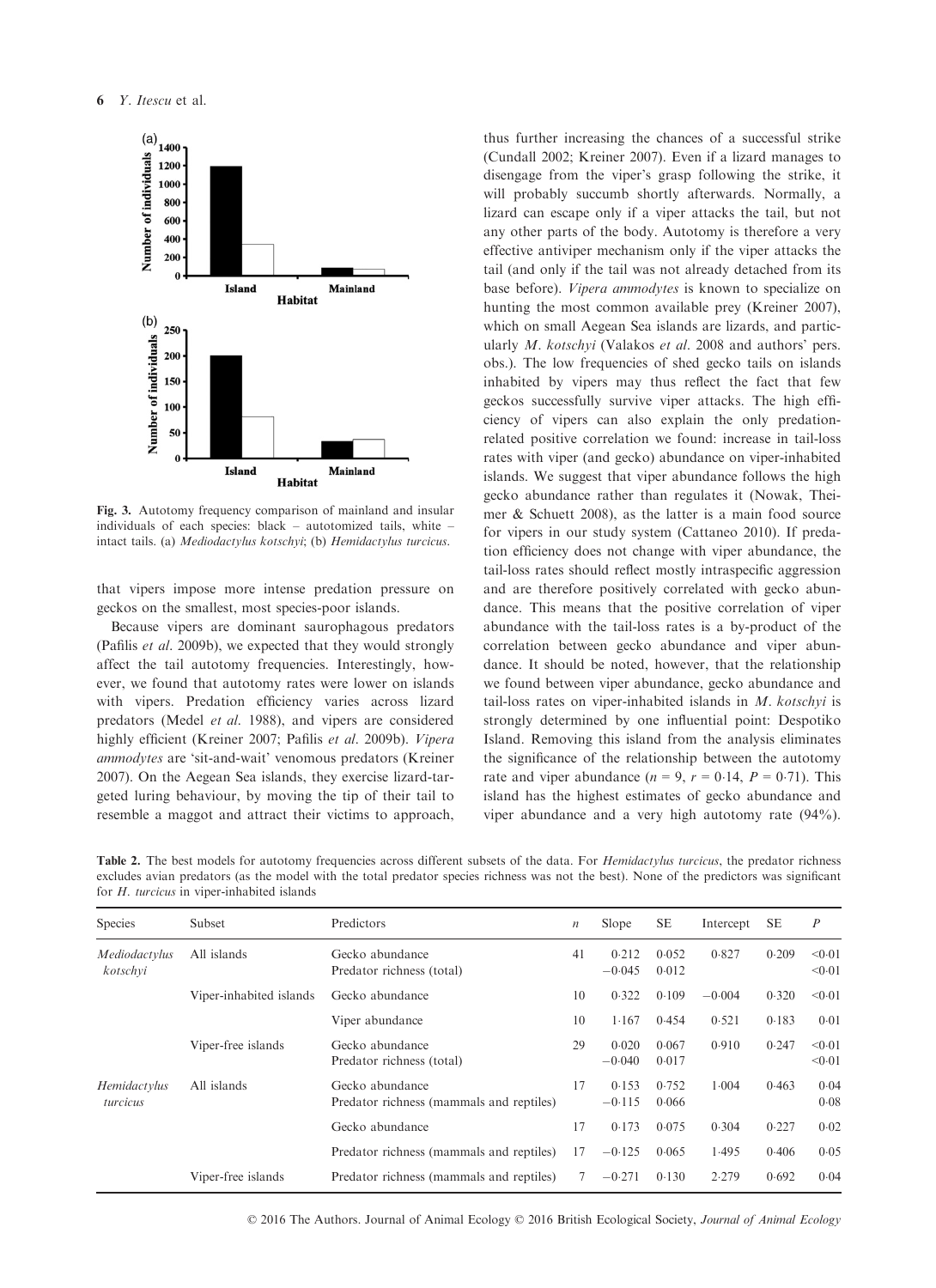

Fig. 3. Autotomy frequency comparison of mainland and insular individuals of each species: black – autotomized tails, white – intact tails. (a) Mediodactylus kotschyi; (b) Hemidactylus turcicus.

that vipers impose more intense predation pressure on geckos on the smallest, most species-poor islands.

Because vipers are dominant saurophagous predators (Pafilis et al. 2009b), we expected that they would strongly affect the tail autotomy frequencies. Interestingly, however, we found that autotomy rates were lower on islands with vipers. Predation efficiency varies across lizard predators (Medel et al. 1988), and vipers are considered highly efficient (Kreiner 2007; Pafilis et al. 2009b). Vipera ammodytes are 'sit-and-wait' venomous predators (Kreiner 2007). On the Aegean Sea islands, they exercise lizard-targeted luring behaviour, by moving the tip of their tail to resemble a maggot and attract their victims to approach,

thus further increasing the chances of a successful strike (Cundall 2002; Kreiner 2007). Even if a lizard manages to disengage from the viper's grasp following the strike, it will probably succumb shortly afterwards. Normally, a lizard can escape only if a viper attacks the tail, but not any other parts of the body. Autotomy is therefore a very effective antiviper mechanism only if the viper attacks the tail (and only if the tail was not already detached from its base before). Vipera ammodytes is known to specialize on hunting the most common available prey (Kreiner 2007), which on small Aegean Sea islands are lizards, and particularly *M. kotschyi* (Valakos et al. 2008 and authors' pers. obs.). The low frequencies of shed gecko tails on islands inhabited by vipers may thus reflect the fact that few geckos successfully survive viper attacks. The high efficiency of vipers can also explain the only predationrelated positive correlation we found: increase in tail-loss rates with viper (and gecko) abundance on viper-inhabited islands. We suggest that viper abundance follows the high gecko abundance rather than regulates it (Nowak, Theimer & Schuett 2008), as the latter is a main food source for vipers in our study system (Cattaneo 2010). If predation efficiency does not change with viper abundance, the tail-loss rates should reflect mostly intraspecific aggression and are therefore positively correlated with gecko abundance. This means that the positive correlation of viper abundance with the tail-loss rates is a by-product of the correlation between gecko abundance and viper abundance. It should be noted, however, that the relationship we found between viper abundance, gecko abundance and tail-loss rates on viper-inhabited islands in  $M$ . kotschyi is strongly determined by one influential point: Despotiko Island. Removing this island from the analysis eliminates the significance of the relationship between the autotomy rate and viper abundance ( $n = 9$ ,  $r = 0.14$ ,  $P = 0.71$ ). This island has the highest estimates of gecko abundance and viper abundance and a very high autotomy rate (94%).

Table 2. The best models for autotomy frequencies across different subsets of the data. For *Hemidactylus turcicus*, the predator richness excludes avian predators (as the model with the total predator species richness was not the best). None of the predictors was significant for H. turcicus in viper-inhabited islands

| Species                   | Subset                  | Predictors                                                  | $\boldsymbol{n}$ | Slope             | <b>SE</b>      | Intercept | <b>SE</b> | $\boldsymbol{P}$ |
|---------------------------|-------------------------|-------------------------------------------------------------|------------------|-------------------|----------------|-----------|-----------|------------------|
| Mediodactvlus<br>kotschvi | All islands             | Gecko abundance<br>Predator richness (total)                |                  | 0.212<br>$-0.045$ | 0.052<br>0.012 | 0.827     | 0.209     | < 0.01<br>< 0.01 |
|                           | Viper-inhabited islands | Gecko abundance                                             |                  | 0.322             | 0.109          | $-0.004$  | 0.320     | < 0.01           |
|                           |                         | Viper abundance                                             | 10               | 1.167             | 0.454          | 0.521     | 0.183     | 0.01             |
|                           | Viper-free islands      | Gecko abundance<br>Predator richness (total)                |                  | 0.020<br>$-0.040$ | 0.067<br>0.017 | 0.910     | 0.247     | < 0.01<br>< 0.01 |
| Hemidactylus<br>turcicus  | All islands             | Gecko abundance<br>Predator richness (mammals and reptiles) | 17               | 0.153<br>$-0.115$ | 0.752<br>0.066 | 1.004     | 0.463     | 0.04<br>0.08     |
|                           |                         | Gecko abundance                                             | 17               | 0.173             | 0.075          | 0.304     | 0.227     | 0.02             |
|                           |                         | Predator richness (mammals and reptiles)                    | 17               | $-0.125$          | 0.065          | 1.495     | 0.406     | 0.05             |
|                           | Viper-free islands      | Predator richness (mammals and reptiles)                    |                  | $-0.271$          | 0.130          | 2.279     | 0.692     | 0.04             |

© 2016 The Authors. Journal of Animal Ecology © 2016 British Ecological Society, Journal of Animal Ecology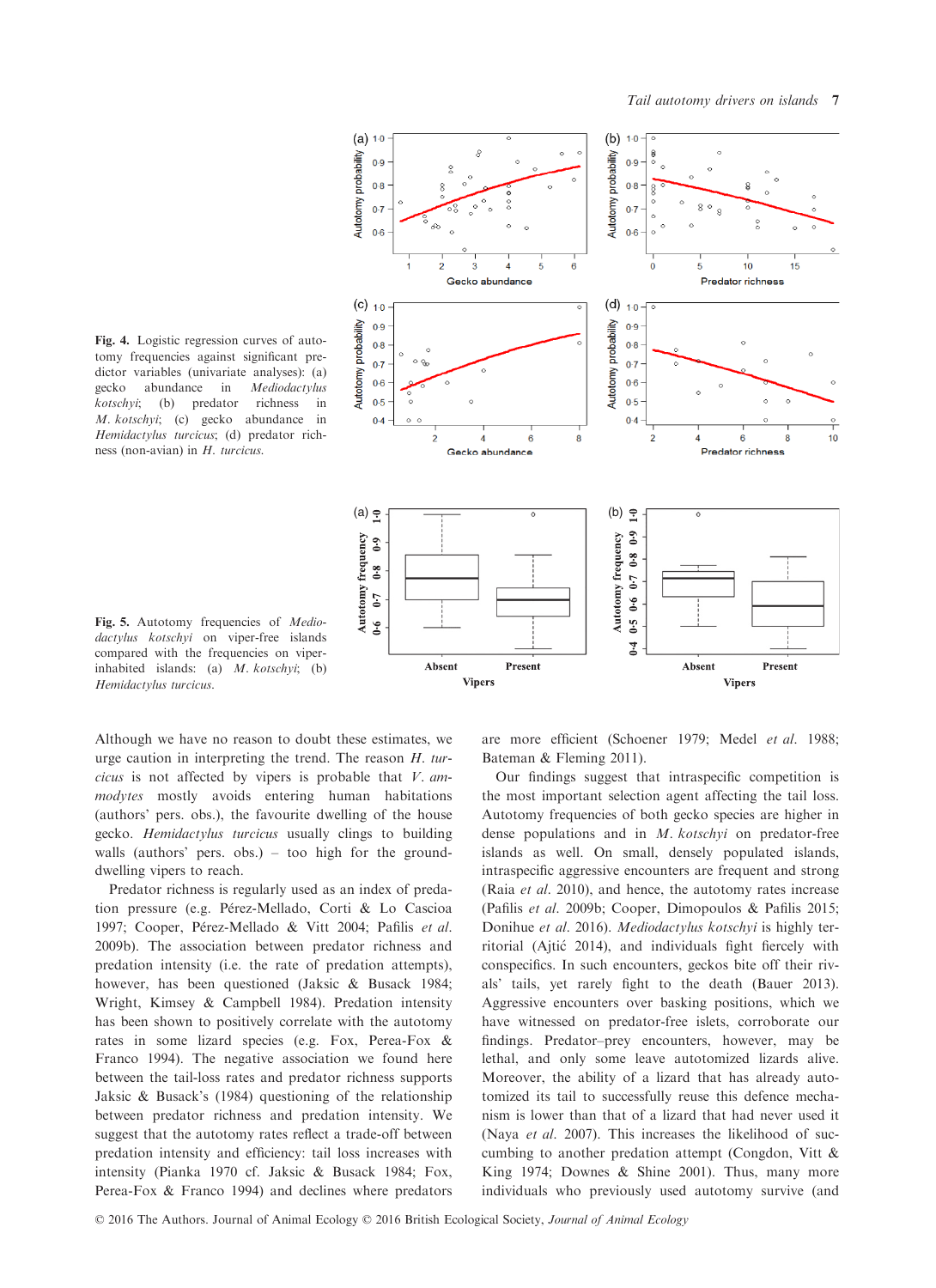Fig. 4. Logistic regression curves of autotomy frequencies against significant predictor variables (univariate analyses): (a) gecko abundance in Mediodactylus kotschyi; (b) predator richness in M. kotschyi; (c) gecko abundance in Hemidactylus turcicus; (d) predator richness (non-avian) in H. turcicus.



Fig. 5. Autotomy frequencies of *Medio*dactylus kotschyi on viper-free islands compared with the frequencies on viperinhabited islands: (a) M. kotschyi; (b) Hemidactylus turcicus.

Although we have no reason to doubt these estimates, we urge caution in interpreting the trend. The reason H. turcicus is not affected by vipers is probable that V. ammodytes mostly avoids entering human habitations (authors' pers. obs.), the favourite dwelling of the house gecko. Hemidactylus turcicus usually clings to building walls (authors' pers. obs.) – too high for the grounddwelling vipers to reach.

Predator richness is regularly used as an index of predation pressure (e.g. Pérez-Mellado, Corti & Lo Cascioa 1997; Cooper, Pérez-Mellado & Vitt 2004; Pafilis et al. 2009b). The association between predator richness and predation intensity (i.e. the rate of predation attempts), however, has been questioned (Jaksic & Busack 1984; Wright, Kimsey & Campbell 1984). Predation intensity has been shown to positively correlate with the autotomy rates in some lizard species (e.g. Fox, Perea-Fox & Franco 1994). The negative association we found here between the tail-loss rates and predator richness supports Jaksic & Busack's (1984) questioning of the relationship between predator richness and predation intensity. We suggest that the autotomy rates reflect a trade-off between predation intensity and efficiency: tail loss increases with intensity (Pianka 1970 cf. Jaksic & Busack 1984; Fox, Perea-Fox & Franco 1994) and declines where predators are more efficient (Schoener 1979; Medel et al. 1988; Bateman & Fleming 2011).

Our findings suggest that intraspecific competition is the most important selection agent affecting the tail loss. Autotomy frequencies of both gecko species are higher in dense populations and in M. kotschyi on predator-free islands as well. On small, densely populated islands, intraspecific aggressive encounters are frequent and strong (Raia et al. 2010), and hence, the autotomy rates increase (Pafilis et al. 2009b; Cooper, Dimopoulos & Pafilis 2015; Donihue et al. 2016). Mediodactylus kotschyi is highly territorial (Ajtic 2014), and individuals fight fiercely with conspecifics. In such encounters, geckos bite off their rivals' tails, yet rarely fight to the death (Bauer 2013). Aggressive encounters over basking positions, which we have witnessed on predator-free islets, corroborate our findings. Predator–prey encounters, however, may be lethal, and only some leave autotomized lizards alive. Moreover, the ability of a lizard that has already autotomized its tail to successfully reuse this defence mechanism is lower than that of a lizard that had never used it (Naya et al. 2007). This increases the likelihood of succumbing to another predation attempt (Congdon, Vitt & King 1974; Downes & Shine 2001). Thus, many more individuals who previously used autotomy survive (and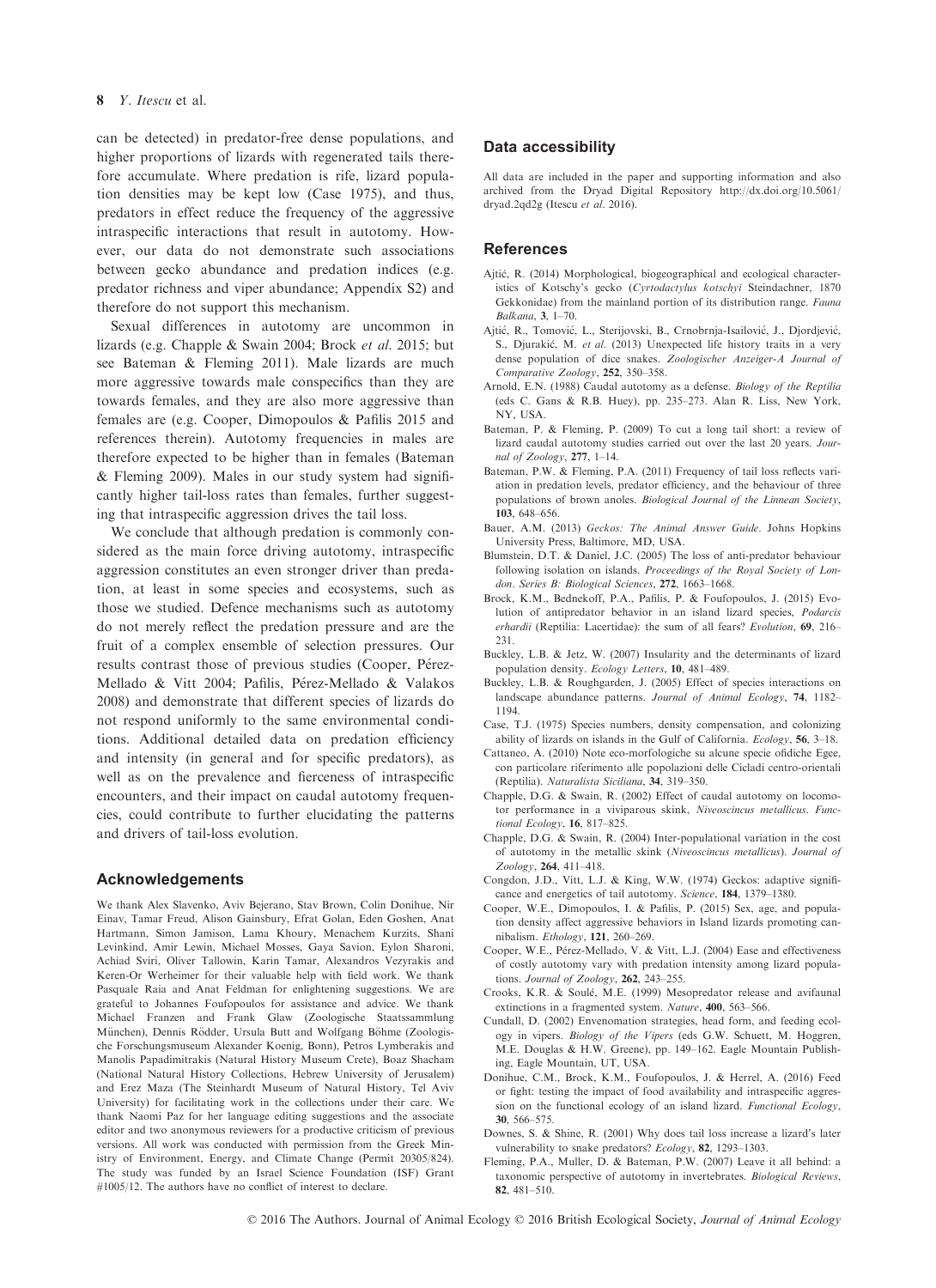can be detected) in predator-free dense populations, and higher proportions of lizards with regenerated tails therefore accumulate. Where predation is rife, lizard population densities may be kept low (Case 1975), and thus, predators in effect reduce the frequency of the aggressive intraspecific interactions that result in autotomy. However, our data do not demonstrate such associations between gecko abundance and predation indices (e.g. predator richness and viper abundance; Appendix S2) and therefore do not support this mechanism.

Sexual differences in autotomy are uncommon in lizards (e.g. Chapple & Swain 2004; Brock et al. 2015; but see Bateman & Fleming 2011). Male lizards are much more aggressive towards male conspecifics than they are towards females, and they are also more aggressive than females are (e.g. Cooper, Dimopoulos & Pafilis 2015 and references therein). Autotomy frequencies in males are therefore expected to be higher than in females (Bateman & Fleming 2009). Males in our study system had significantly higher tail-loss rates than females, further suggesting that intraspecific aggression drives the tail loss.

We conclude that although predation is commonly considered as the main force driving autotomy, intraspecific aggression constitutes an even stronger driver than predation, at least in some species and ecosystems, such as those we studied. Defence mechanisms such as autotomy do not merely reflect the predation pressure and are the fruit of a complex ensemble of selection pressures. Our results contrast those of previous studies (Cooper, Pérez-Mellado & Vitt 2004; Pafilis, Pérez-Mellado & Valakos 2008) and demonstrate that different species of lizards do not respond uniformly to the same environmental conditions. Additional detailed data on predation efficiency and intensity (in general and for specific predators), as well as on the prevalence and fierceness of intraspecific encounters, and their impact on caudal autotomy frequencies, could contribute to further elucidating the patterns and drivers of tail-loss evolution.

### Acknowledgements

We thank Alex Slavenko, Aviv Bejerano, Stav Brown, Colin Donihue, Nir Einav, Tamar Freud, Alison Gainsbury, Efrat Golan, Eden Goshen, Anat Hartmann, Simon Jamison, Lama Khoury, Menachem Kurzits, Shani Levinkind, Amir Lewin, Michael Mosses, Gaya Savion, Eylon Sharoni, Achiad Sviri, Oliver Tallowin, Karin Tamar, Alexandros Vezyrakis and Keren-Or Werheimer for their valuable help with field work. We thank Pasquale Raia and Anat Feldman for enlightening suggestions. We are grateful to Johannes Foufopoulos for assistance and advice. We thank Michael Franzen and Frank Glaw (Zoologische Staatssammlung München), Dennis Rödder, Ursula Butt and Wolfgang Böhme (Zoologische Forschungsmuseum Alexander Koenig, Bonn), Petros Lymberakis and Manolis Papadimitrakis (Natural History Museum Crete), Boaz Shacham (National Natural History Collections, Hebrew University of Jerusalem) and Erez Maza (The Steinhardt Museum of Natural History, Tel Aviv University) for facilitating work in the collections under their care. We thank Naomi Paz for her language editing suggestions and the associate editor and two anonymous reviewers for a productive criticism of previous versions. All work was conducted with permission from the Greek Ministry of Environment, Energy, and Climate Change (Permit 20305/824). The study was funded by an Israel Science Foundation (ISF) Grant #1005/12. The authors have no conflict of interest to declare.

## Data accessibility

All data are included in the paper and supporting information and also archived from the Dryad Digital Repository [http://dx.doi.org/10.5061/](http://dx.doi.org/10.5061/dryad.2qd2g) [dryad.2qd2g](http://dx.doi.org/10.5061/dryad.2qd2g) (Itescu et al. 2016).

### **References**

- Ajtic, R. (2014) Morphological, biogeographical and ecological characteristics of Kotschy's gecko (Cyrtodactylus kotschyi Steindachner, 1870 Gekkonidae) from the mainland portion of its distribution range. Fauna Balkana, 3, 1–70.
- Ajtic, R., Tomovic, L., Sterijovski, B., Crnobrnja-Isailovic, J., Djordjevic, S., Diurakić, M. et al. (2013) Unexpected life history traits in a very dense population of dice snakes. Zoologischer Anzeiger-A Journal of Comparative Zoology, 252, 350–358.
- Arnold, E.N. (1988) Caudal autotomy as a defense. Biology of the Reptilia (eds C. Gans & R.B. Huey), pp. 235–273. Alan R. Liss, New York, NY, USA.
- Bateman, P. & Fleming, P. (2009) To cut a long tail short: a review of lizard caudal autotomy studies carried out over the last 20 years. Journal of Zoology, 277, 1–14.
- Bateman, P.W. & Fleming, P.A. (2011) Frequency of tail loss reflects variation in predation levels, predator efficiency, and the behaviour of three populations of brown anoles. Biological Journal of the Linnean Society, 103, 648–656.
- Bauer, A.M. (2013) Geckos: The Animal Answer Guide. Johns Hopkins University Press, Baltimore, MD, USA.
- Blumstein, D.T. & Daniel, J.C. (2005) The loss of anti-predator behaviour following isolation on islands. Proceedings of the Royal Society of London. Series B: Biological Sciences, 272, 1663–1668.
- Brock, K.M., Bednekoff, P.A., Pafilis, P. & Foufopoulos, J. (2015) Evolution of antipredator behavior in an island lizard species, Podarcis erhardii (Reptilia: Lacertidae): the sum of all fears? Evolution, 69, 216-231.
- Buckley, L.B. & Jetz, W. (2007) Insularity and the determinants of lizard population density. Ecology Letters, 10, 481–489.
- Buckley, L.B. & Roughgarden, J. (2005) Effect of species interactions on landscape abundance patterns. Journal of Animal Ecology, 74, 1182– 1194.
- Case, T.J. (1975) Species numbers, density compensation, and colonizing ability of lizards on islands in the Gulf of California. Ecology, 56, 3–18.
- Cattaneo, A. (2010) Note eco-morfologiche su alcune specie ofidiche Egee, con particolare riferimento alle popolazioni delle Cicladi centro-orientali (Reptilia). Naturalista Siciliana, 34, 319–350.
- Chapple, D.G. & Swain, R. (2002) Effect of caudal autotomy on locomotor performance in a viviparous skink, Niveoscincus metallicus. Functional Ecology, 16, 817-825.
- Chapple, D.G. & Swain, R. (2004) Inter-populational variation in the cost of autotomy in the metallic skink (Niveoscincus metallicus). Journal of Zoology, 264, 411–418.
- Congdon, J.D., Vitt, L.J. & King, W.W. (1974) Geckos: adaptive significance and energetics of tail autotomy. Science, 184, 1379–1380.
- Cooper, W.E., Dimopoulos, I. & Pafilis, P. (2015) Sex, age, and population density affect aggressive behaviors in Island lizards promoting cannibalism. Ethology, 121, 260–269.
- Cooper, W.E., Pérez-Mellado, V. & Vitt, L.J. (2004) Ease and effectiveness of costly autotomy vary with predation intensity among lizard populations. Journal of Zoology, 262, 243-255.
- Crooks, K.R. & Soule, M.E. (1999) Mesopredator release and avifaunal extinctions in a fragmented system. Nature, 400, 563-566.
- Cundall, D. (2002) Envenomation strategies, head form, and feeding ecology in vipers. Biology of the Vipers (eds G.W. Schuett, M. Hoggren, M.E. Douglas & H.W. Greene), pp. 149–162. Eagle Mountain Publishing, Eagle Mountain, UT, USA.
- Donihue, C.M., Brock, K.M., Foufopoulos, J. & Herrel, A. (2016) Feed or fight: testing the impact of food availability and intraspecific aggression on the functional ecology of an island lizard. Functional Ecology, 30, 566–575.
- Downes, S. & Shine, R. (2001) Why does tail loss increase a lizard's later vulnerability to snake predators? Ecology, 82, 1293–1303.
- Fleming, P.A., Muller, D. & Bateman, P.W. (2007) Leave it all behind: a taxonomic perspective of autotomy in invertebrates. Biological Reviews, 82, 481–510.